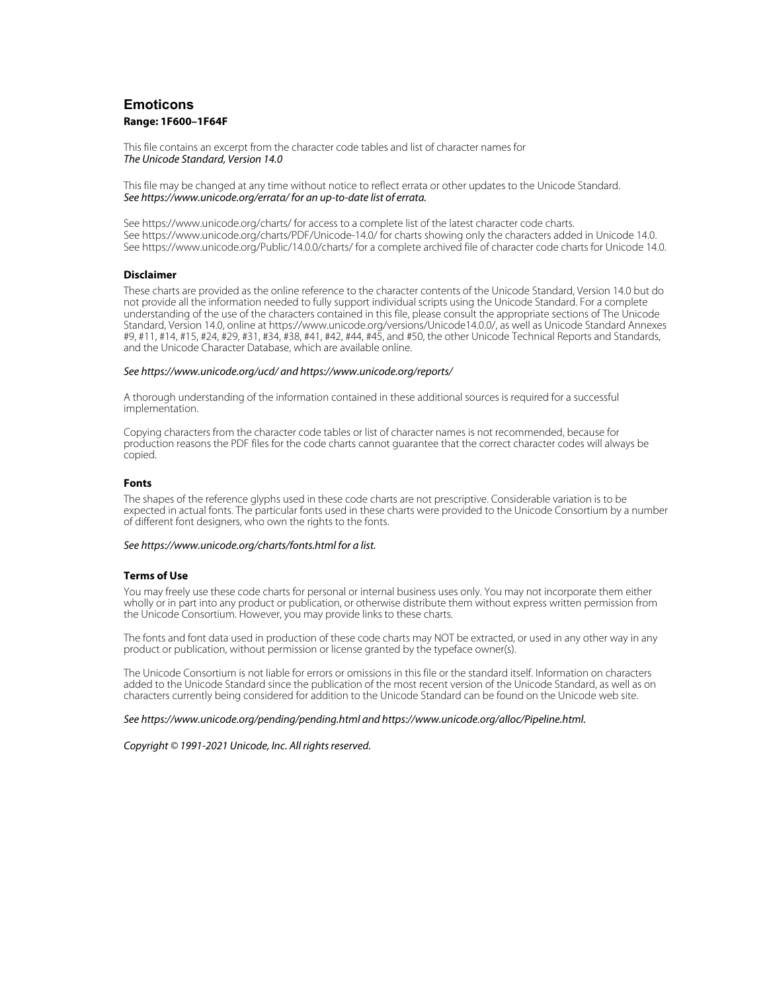# **Emoticons Range: 1F600–1F64F**

This file contains an excerpt from the character code tables and list of character names for The Unicode Standard, Version 14.0

This file may be changed at any time without notice to reflect errata or other updates to the Unicode Standard. See https://www.unicode.org/errata/ for an up-to-date list of errata.

See https://www.unicode.org/charts/ for access to a complete list of the latest character code charts. See https://www.unicode.org/charts/PDF/Unicode-14.0/ for charts showing only the characters added in Unicode 14.0. See https://www.unicode.org/Public/14.0.0/charts/ for a complete archived file of character code charts for Unicode 14.0.

### **Disclaimer**

**Disclaimer** These charts are provided as the online reference to the character contents of the Unicode Standard, Version 14.0 but do not provide all the information needed to fully support individual scripts using the Unicode Standard. For a complete understanding of the use of the characters contained in this file, please consult the appropriate sections of The Unicode Standard, Version 14.0, online at https://www.unicode.org/versions/Unicode14.0.0/, as well as Unicode Standard Annexes #9, #11, #14, #15, #24, #29, #31, #34, #38, #41, #42, #44, #45, and #50, the other Unicode Technical Reports and Standards, and the Unicode Character Database, which are available online.

#### See https://www.unicode.org/ucd/ and https://www.unicode.org/reports/

A thorough understanding of the information contained in these additional sources is required for a successful implementation.

Copying characters from the character code tables or list of character names is not recommended, because for production reasons the PDF files for the code charts cannot guarantee that the correct character codes will always be copied.

#### **Fonts**

**Fonts** The shapes of the reference glyphs used in these code charts are not prescriptive. Considerable variation is to be expected in actual fonts. The particular fonts used in these charts were provided to the Unicode Consortium by a number of different font designers, who own the rights to the fonts.

### See https://www.unicode.org/charts/fonts.html for a list.

**Terms of Use** You may freely use these code charts for personal or internal business uses only. You may not incorporate them either wholly or in part into any product or publication, or otherwise distribute them without express written permission from the Unicode Consortium. However, you may provide links to these charts.

The fonts and font data used in production of these code charts may NOT be extracted, or used in any other way in any product or publication, without permission or license granted by the typeface owner(s).

The Unicode Consortium is not liable for errors or omissions in this file or the standard itself. Information on characters added to the Unicode Standard since the publication of the most recent version of the Unicode Standard, as well as on characters currently being considered for addition to the Unicode Standard can be found on the Unicode web site.

#### See https://www.unicode.org/pending/pending.html and https://www.unicode.org/alloc/Pipeline.html.

Copyright © 1991-2021 Unicode, Inc. All rights reserved.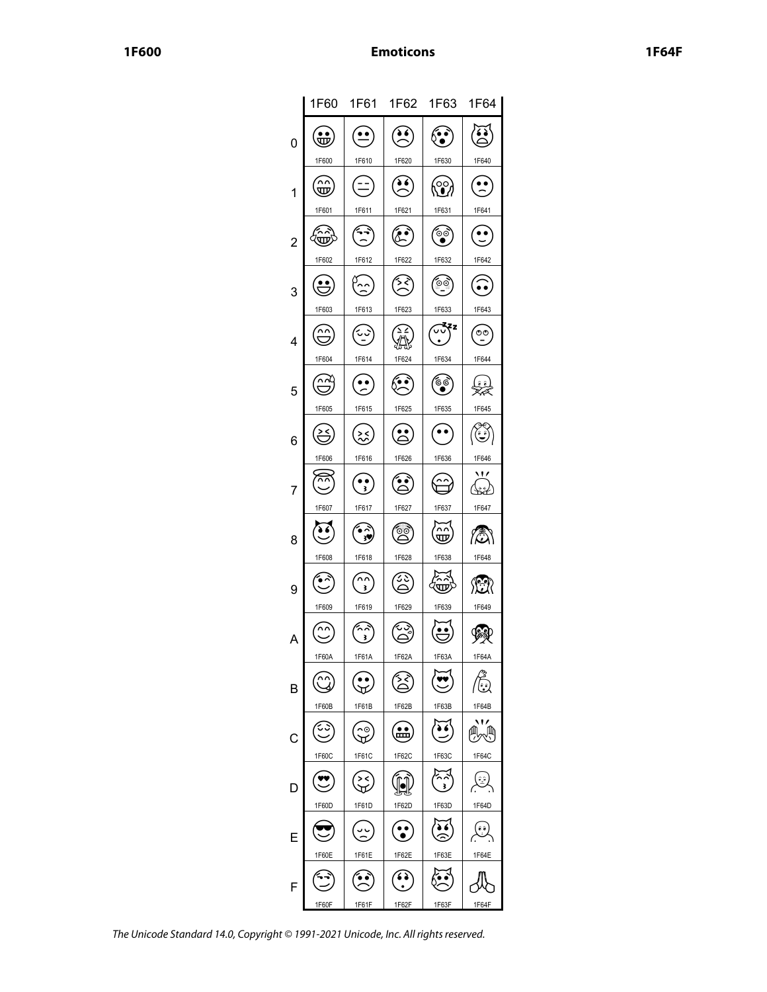|                | 1F60                         | 1F61                            | 1F62         | 1F63               | 1F64            |
|----------------|------------------------------|---------------------------------|--------------|--------------------|-----------------|
| 0              | $\ddot{\mathbb{E}}$          |                                 | ð 6          | ်း                 | فؤ              |
|                | 1F600                        | 1F610                           | 1F620        | 1F630              | 1F640           |
| 1              | w                            |                                 | $\bullet$    | $\mathbf{\hat{C}}$ | $\ddot{\cdot}$  |
|                | 1F601                        | 1F611                           | 1F621        | 1F631              | 1F641           |
| $\overline{c}$ | (亚)                          |                                 |              | ್ತ                 |                 |
|                | 1F602                        | 1F612                           | 1F622        | 1F632              | 1F642           |
| 3              | $\stackrel{\bullet}{\smile}$ |                                 | نجيز         | $\circ$            | $\tilde{\cdot}$ |
|                | 1F603                        | 1F613                           | 1F623        | 1F633              | 1F643           |
| 4              |                              |                                 |              | <b>Zzz</b>         | $\circ \circ$   |
|                | 1F604                        | 1F614                           | 1F624        | 1F634              | 1F644           |
| 5              | ∩∼                           |                                 |              | ٛۄؘ<br>ؙ           | $\hat{e}$<br>≰  |
|                | 1F605                        | 1F615                           | 1F625        | 1F635              | 1F645           |
| 6              | ě                            | ╳                               |              | $\bullet$          | في              |
|                | 1F606                        | 1F616                           | 1F626        | 1F636              | 1F646           |
| 7              | ⊼⊼                           | š.                              |              |                    | 11              |
|                | 1F607                        | 1F617                           | 1F627        | 1F637              | 1F647           |
| 8              |                              | ż                               | Θc           | w                  | iā.             |
|                | 1F608                        | 1F618                           | 1F628        | 1F638              | 1F648           |
| 9              |                              | 3.                              |              | অ                  | 您               |
|                | 1F609                        | 1F619                           | 1F629        | 1F639              | 1F649           |
| A              | ∩∩                           | ^^<br>š                         |              |                    |                 |
|                | 1F60A                        | 1F61A                           | 1F62A        | 1F63A              | 1F64A           |
| B              |                              | $\overset{\bullet}{\mathbf{v}}$ | ້∕≾ັ         |                    | ြေချ            |
|                | 1F60B                        | 1F61B                           | 1F62B        | 1F63B              | 1F64B           |
| C              |                              | $\tilde{\cdot}$                 | $\mathbf{m}$ | $\ddot{\bullet}$   | ∰₩፝             |
|                | 1F60C                        | 1F61C                           | 1F62C        | 1F63C              | 1F64C           |
| D              |                              | ><<br>ज                         |              | اپسیز<br>رو        | أفسيكم          |
|                | 1F60D                        | 1F61D                           | 1F62D        | 1F63D              | 1F64D           |
|                |                              |                                 |              |                    | ڨگه             |
|                | 1F60E                        | 1F61E                           | 1F62E        | 1F63E              | 1F64E           |
| F              |                              |                                 | $\Omega$     |                    |                 |
|                | 1F60F                        | 1F61F                           | 1F62F        | 1F63F              | 1F64F           |

The Unicode Standard 14.0, Copyright © 1991-2021 Unicode, Inc. All rights reserved.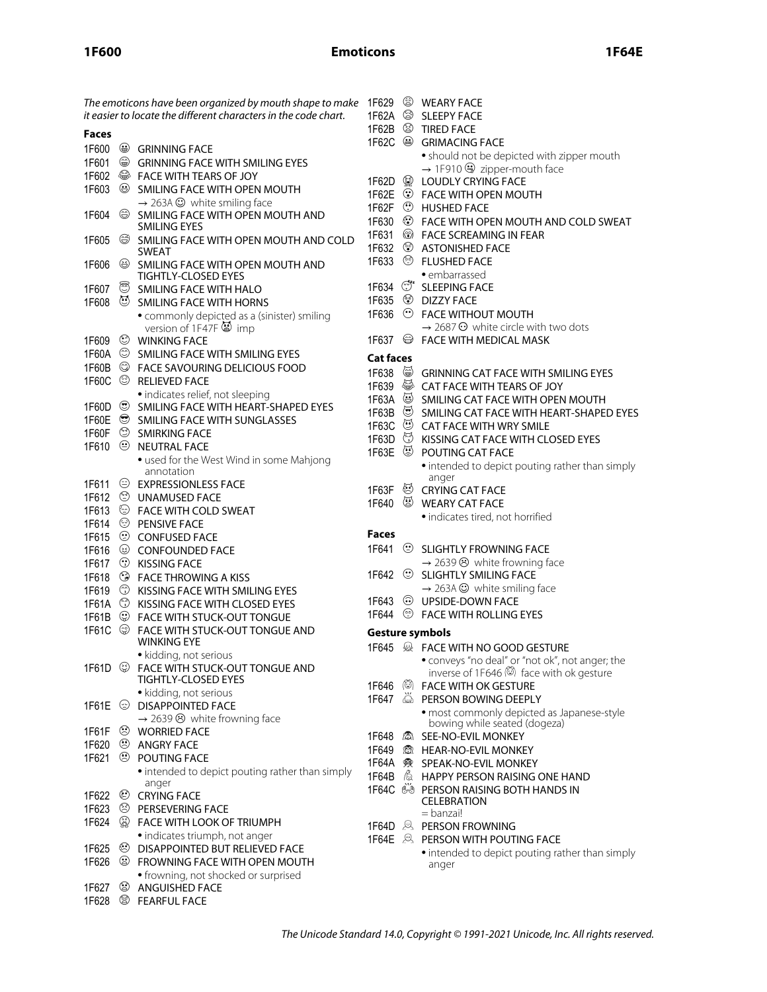# **Emoticons**

The emoticons have been organized by mouth shape to make  $\Box$  1F629  $\circledR$  WEARY FACE it easier to locate the different characters in the code chart. 1F62A <sup>S</sup> SLEEPY FACE 1F62B TIRED FACE **Faces** 1F62C <sup>a</sup> GRIMACING FACE 1F600 **⊕** GRINNING FACE • should not be depicted with zipper mouth 1F601 GRINNING FACE WITH SMILING EYES  $\rightarrow$  1F910  $\oplus$  zipper-mouth face 1F602 FACE WITH TEARS OF JOY 1F62D **W** LOUDLY CRYING FACE 1F603 SMILING FACE WITH OPEN MOUTH 1F62E FACE WITH OPEN MOUTH  $\rightarrow$  263A  $\odot$  white smiling face 1F62F <sup>(1)</sup> HUSHED FACE 1F604 SMILING FACE WITH OPEN MOUTH AND 1F630 FACE WITH OPEN MOUTH AND COLD SWEAT SMILING EYES 1F631 **& FACE SCREAMING IN FEAR** 1F605 <sup>3</sup> SMILING FACE WITH OPEN MOUTH AND COLD 1F632 <sup>3</sup> ASTONISHED FACE SWEAT 1F633 <sup>S</sup>FLUSHED FACE 1F606 <sup>3</sup> SMILING FACE WITH OPEN MOUTH AND TIGHTLY-CLOSED EYES • embarrassed 1F634  $\circled{C}^*$  SLEEPING FACE 1F607 SMILING FACE WITH HALO<br>1F608 U SMILING FACE WITH HORN SMILING FACE WITH HORNS 1F635 **DIZZY FACE** • commonly depicted as a (sinister) smiling 1F636 FACE WITHOUT MOUTH version of  $1F47F$   $\circledast$  imp  $\rightarrow$  2687  $\odot$  white circle with two dots 1F609 WINKING FACE 1F637 FACE WITH MEDICAL MASK 1F60A  $\circledcirc$  SMILING FACE WITH SMILING EYES **Cat faces** 1F60B FACE SAVOURING DELICIOUS FOOD 1F638 <sup>3</sup> 1F638  $\circledcirc$  GRINNING CAT FACE WITH SMILING EYES<br>1F639  $\circledcirc$  CAT FACE WITH TEARS OF JOY 1F60C <sup>S</sup> RELIEVED FACE 1F639 <sup>◎</sup> CAT FACE WITH TEARS OF JOY<br>1F63A ◎ SMILING CAT FACE WITH OPEN • indicates relief, not sleeping 9 SMILING CAT FACE WITH OPEN MOUTH<br>9 SMILING CAT FACE WITH HEART-SHAPE 1F60D <sup>S</sup> SMILING FACE WITH HEART-SHAPED EYES 1F63B  $\circledS$  SMILING CAT FACE WITH HEART-SHAPED EYES<br>1F63C  $\circledS$  CAT FACE WITH WRY SMILE 1F60E SMILING FACE WITH SUNGLASSES 1F63C  <sup>③</sup>  CAT FACE WITH WRY SMILE<br>1F63D   ⑦  KISSING CAT FACE WITH CL 1F60F SMIRKING FACE 1F63D  $\circledS$  KISSING CAT FACE WITH CLOSED EYES<br>1F63E  $\circledS$  POUTING CAT FACE 1F610 <sup>O</sup> NEUTRAL FACE POUTING CAT FACE • used for the West Wind in some Mahjong • intended to depict pouting rather than simply annotation anger 1F611 EXPRESSIONLESS FACE 1F63F CRYING CAT FACE 1F612 C UNAMUSED FACE 1F640 <sup>3</sup> WEARY CAT FACE 1F613 FACE WITH COLD SWEAT • indicates tired, not horrified 1F614 <sup>©</sup> PENSIVE FACE 1F615 CONFUSED FACE **Faces** 1F641 <sup>3</sup> SLIGHTLY FROWNING FACE 1F616 <sup>3</sup> CONFOUNDED FACE 1F617 KISSING FACE  $\rightarrow$  2639  $\odot$  white frowning face 1F618 FACE THROWING A KISS 1F642 <sup>3</sup> SLIGHTLY SMILING FACE 1F619 KISSING FACE WITH SMILING EYES  $\rightarrow$  263A  $\odot$  white smiling face 1F643 UPSIDE-DOWN FACE 1F61A <sup>3</sup> KISSING FACE WITH CLOSED EYES 1F644 FACE WITH ROLLING EYES 1F61B FACE WITH STUCK-OUT TONGUE FACE WITH STUCK-OUT TONGUE AND WINKING EYE **Gesture symbols** 1F645 FACE WITH NO GOOD GESTURE • kidding, not serious • conveys "no deal" or "not ok", not anger; the 1F61D  $\circledS$  FACE WITH STUCK-OUT TONGUE AND inverse of 1F646 ( face with ok gesture TIGHTLY-CLOSED EYES 1F646 (C) FACE WITH OK GESTURE • kidding, not serious 1F647  $\ddot{\otimes}$  PERSON BOWING DEEPLY 1F61E **DISAPPOINTED FACE** • most commonly depicted as Japanese-style  $\rightarrow$  2639  $\odot$  white frowning face bowing while seated (dogeza) 1F61F WORRIED FACE 1F648 **A** SEE-NO-EVIL MONKEY 1F620 ANGRY FACE 1F649 愈 HEAR-NO-EVIL MONKEY 1F621 <sup>®</sup> POUTING FACE 1F64A SPEAK-NO-EVIL MONKEY • intended to depict pouting rather than simply 1F64B 6 HAPPY PERSON RAISING ONE HAND anger 1F64C  $\frac{200}{100}$  PERSON RAISING BOTH HANDS IN 1F622 CRYING FACE CELEBRATION 1F623 <sup>3</sup> PERSEVERING FACE = banzai! 1F624 FACE WITH LOOK OF TRIUMPH 1F64D **A PERSON FROWNING** • indicates triumph, not anger 1F64E **A** PERSON WITH POUTING FACE 1F625 **C** DISAPPOINTED BUT RELIEVED FACE • intended to depict pouting rather than simply 1F626 <sup>3</sup> FROWNING FACE WITH OPEN MOUTH anger • frowning, not shocked or surprised 1F627 <sup>3</sup> ANGUISHED FACE 1F628 <sup>S</sup> FEARFUL FACE